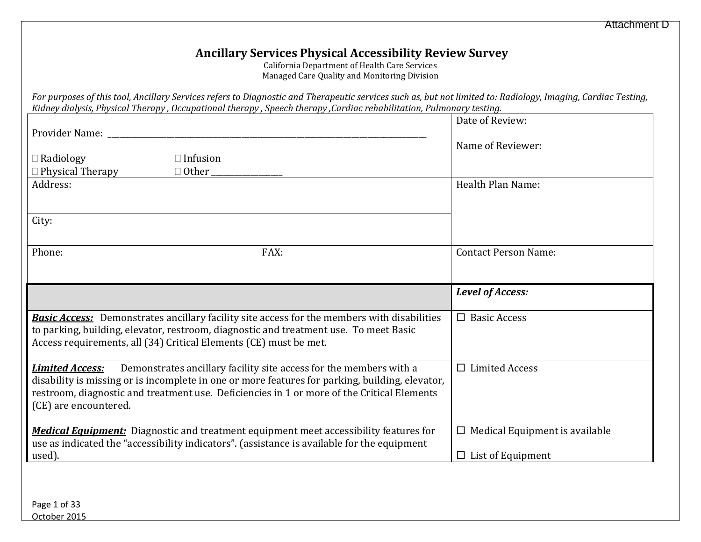## **Ancillary Services Physical Accessibility Review Survey**

California Department of Health Care Services Managed Care Quality and Monitoring Division

| For purposes of this tool, Ancillary Services refers to Diagnostic and Therapeutic services such as, but not limited to: Radiology, Imaging, Cardiac Testing, |  |
|---------------------------------------------------------------------------------------------------------------------------------------------------------------|--|
| Kidney dialysis, Physical Therapy , Occupational therapy , Speech therapy ,Cardiac rehabilitation, Pulmonary testing.                                         |  |

| Provider Name: The Contract of the Contract of the Contract of the Contract of the Contract of the Contract of the Contract of the Contract of the Contract of the Contract of the Contract of the Contract of the Contract of<br>Radiology<br>Physical Therapy<br>Address: | $\Box$ Infusion<br>$\Box$ Other                                                                                                                                                                                                                                     | Date of Review:<br>Name of Reviewer:<br>Health Plan Name:         |
|-----------------------------------------------------------------------------------------------------------------------------------------------------------------------------------------------------------------------------------------------------------------------------|---------------------------------------------------------------------------------------------------------------------------------------------------------------------------------------------------------------------------------------------------------------------|-------------------------------------------------------------------|
| City:                                                                                                                                                                                                                                                                       |                                                                                                                                                                                                                                                                     |                                                                   |
| Phone:                                                                                                                                                                                                                                                                      | FAX:                                                                                                                                                                                                                                                                | <b>Contact Person Name:</b>                                       |
|                                                                                                                                                                                                                                                                             |                                                                                                                                                                                                                                                                     | Level of Access:                                                  |
|                                                                                                                                                                                                                                                                             | <b>Basic Access:</b> Demonstrates ancillary facility site access for the members with disabilities<br>to parking, building, elevator, restroom, diagnostic and treatment use. To meet Basic<br>Access requirements, all (34) Critical Elements (CE) must be met.    | $\Box$ Basic Access                                               |
| <b>Limited Access:</b><br>(CE) are encountered.                                                                                                                                                                                                                             | Demonstrates ancillary facility site access for the members with a<br>disability is missing or is incomplete in one or more features for parking, building, elevator,<br>restroom, diagnostic and treatment use. Deficiencies in 1 or more of the Critical Elements | $\Box$ Limited Access                                             |
| used).                                                                                                                                                                                                                                                                      | <b>Medical Equipment:</b> Diagnostic and treatment equipment meet accessibility features for<br>use as indicated the "accessibility indicators". (assistance is available for the equipment                                                                         | $\Box$ Medical Equipment is available<br>$\Box$ List of Equipment |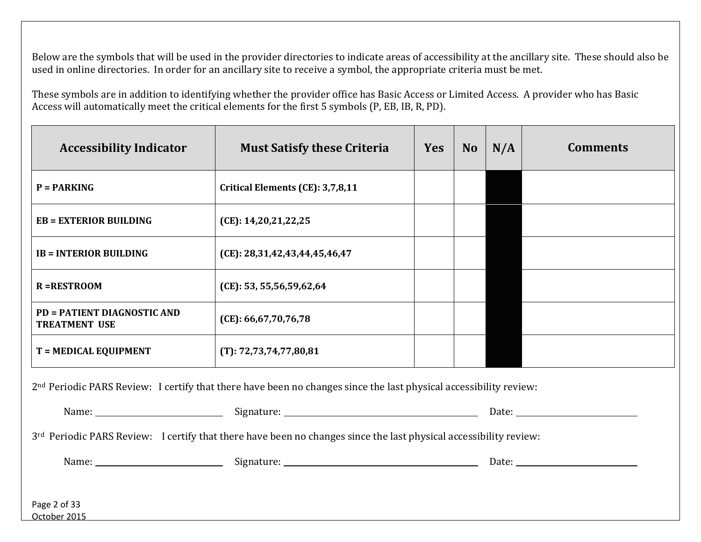Below are the symbols that will be used in the provider directories to indicate areas of accessibility at the ancillary site. These should also be used in online directories. In order for an ancillary site to receive a symbol, the appropriate criteria must be met.

 Access will automatically meet the critical elements for the first 5 symbols (P, EB, IB, R, PD). These symbols are in addition to identifying whether the provider office has Basic Access or Limited Access. A provider who has Basic

| <b>Accessibility Indicator</b>                                                                                                                                                                                                                                                                                                                                                                                                                                        | <b>Must Satisfy these Criteria</b> | <b>Yes</b> | N <sub>o</sub> | N/A | <b>Comments</b> |  |  |
|-----------------------------------------------------------------------------------------------------------------------------------------------------------------------------------------------------------------------------------------------------------------------------------------------------------------------------------------------------------------------------------------------------------------------------------------------------------------------|------------------------------------|------------|----------------|-----|-----------------|--|--|
| $P = PARKING$                                                                                                                                                                                                                                                                                                                                                                                                                                                         | Critical Elements (CE): 3,7,8,11   |            |                |     |                 |  |  |
| <b>EB = EXTERIOR BUILDING</b>                                                                                                                                                                                                                                                                                                                                                                                                                                         | (CE): 14,20,21,22,25               |            |                |     |                 |  |  |
| <b>IB = INTERIOR BUILDING</b>                                                                                                                                                                                                                                                                                                                                                                                                                                         | (CE): 28,31,42,43,44,45,46,47      |            |                |     |                 |  |  |
| <b>R=RESTROOM</b>                                                                                                                                                                                                                                                                                                                                                                                                                                                     | (CE): 53, 55, 56, 59, 62, 64       |            |                |     |                 |  |  |
| <b>PD = PATIENT DIAGNOSTIC AND</b><br><b>TREATMENT USE</b>                                                                                                                                                                                                                                                                                                                                                                                                            | (CE): 66, 67, 70, 76, 78           |            |                |     |                 |  |  |
| T = MEDICAL EQUIPMENT                                                                                                                                                                                                                                                                                                                                                                                                                                                 | (T): 72, 73, 74, 77, 80, 81        |            |                |     |                 |  |  |
| 2 <sup>nd</sup> Periodic PARS Review: I certify that there have been no changes since the last physical accessibility review:                                                                                                                                                                                                                                                                                                                                         |                                    |            |                |     |                 |  |  |
| Name: Name: Name: Name: Name: Name: Name: Name: Name: Name: Name: Name: Name: Name: Name: Name: Name: Name: Name: Name: Name: Name: Name: Name: Name: Name: Name: Name: Name: Name: Name: Name: Name: Name: Name: Name: Name:<br>Date: <u>with the set of the set of the set of the set of the set of the set of the set of the set of the set of the set of the set of the set of the set of the set of the set of the set of the set of the set of the set of t</u> |                                    |            |                |     |                 |  |  |
| 3rd Periodic PARS Review: I certify that there have been no changes since the last physical accessibility review:                                                                                                                                                                                                                                                                                                                                                     |                                    |            |                |     |                 |  |  |
|                                                                                                                                                                                                                                                                                                                                                                                                                                                                       |                                    |            |                |     |                 |  |  |

 Page 2 of 33 October 2015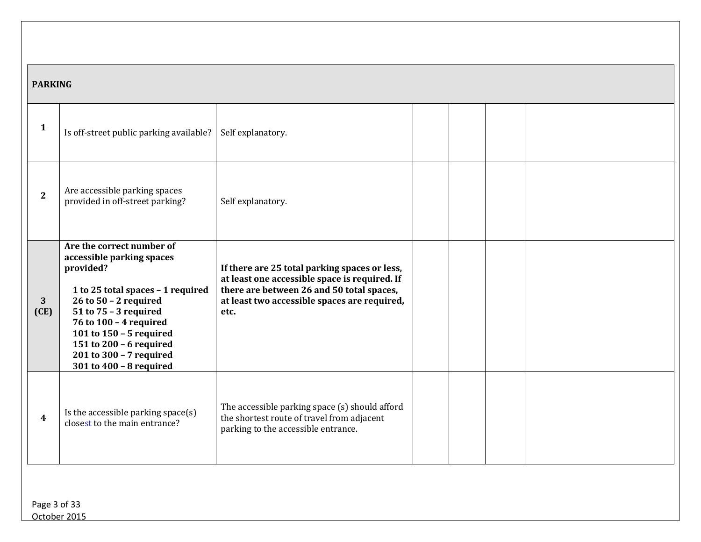## **PARKING**

| 1                    | Is off-street public parking available?                                                                                                                                                                                                                                                            | Self explanatory.                                                                                                                                                                                   |  |  |
|----------------------|----------------------------------------------------------------------------------------------------------------------------------------------------------------------------------------------------------------------------------------------------------------------------------------------------|-----------------------------------------------------------------------------------------------------------------------------------------------------------------------------------------------------|--|--|
| $\mathbf{2}$         | Are accessible parking spaces<br>provided in off-street parking?                                                                                                                                                                                                                                   | Self explanatory.                                                                                                                                                                                   |  |  |
| $\mathbf{3}$<br>(CE) | Are the correct number of<br>accessible parking spaces<br>provided?<br>1 to 25 total spaces - 1 required<br>26 to $50 - 2$ required<br>51 to 75 - 3 required<br>76 to 100 - 4 required<br>101 to 150 - 5 required<br>151 to 200 - 6 required<br>201 to 300 - 7 required<br>301 to 400 - 8 required | If there are 25 total parking spaces or less,<br>at least one accessible space is required. If<br>there are between 26 and 50 total spaces,<br>at least two accessible spaces are required,<br>etc. |  |  |
| 4                    | Is the accessible parking space(s)<br>closest to the main entrance?                                                                                                                                                                                                                                | The accessible parking space (s) should afford<br>the shortest route of travel from adjacent<br>parking to the accessible entrance.                                                                 |  |  |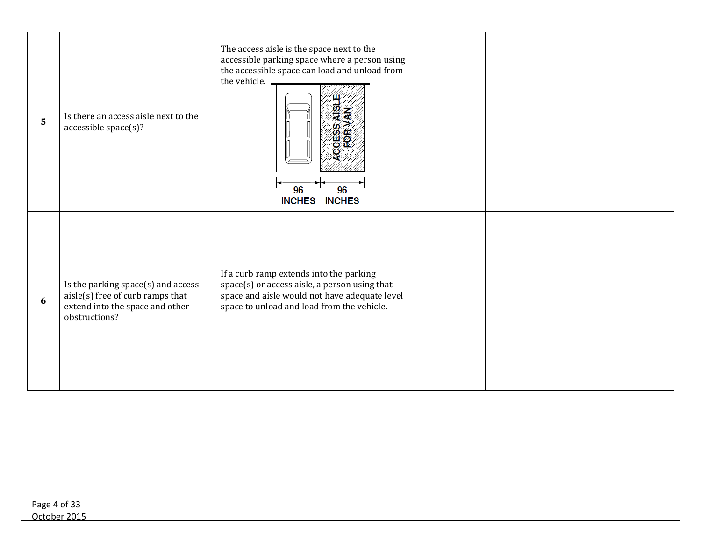| 5 | Is there an access aisle next to the<br>accessible space(s)?                                                               | The access aisle is the space next to the<br>accessible parking space where a person using<br>the accessible space can load and unload from<br>the vehicle.<br>96<br>96<br><b>INCHES</b><br><b>INCHES</b> |  |  |
|---|----------------------------------------------------------------------------------------------------------------------------|-----------------------------------------------------------------------------------------------------------------------------------------------------------------------------------------------------------|--|--|
| 6 | Is the parking space(s) and access<br>aisle(s) free of curb ramps that<br>extend into the space and other<br>obstructions? | If a curb ramp extends into the parking<br>space(s) or access aisle, a person using that<br>space and aisle would not have adequate level<br>space to unload and load from the vehicle.                   |  |  |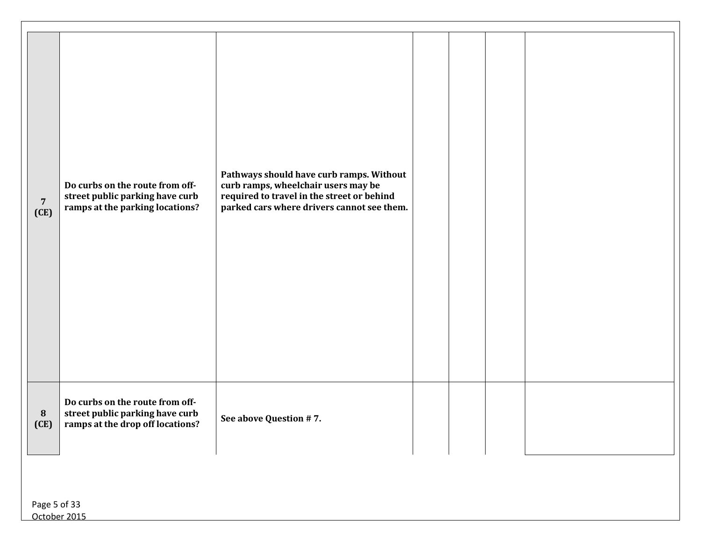| $\overline{7}$<br>(CE) | Do curbs on the route from off-<br>street public parking have curb<br>ramps at the parking locations?  | Pathways should have curb ramps. Without<br>curb ramps, wheelchair users may be<br>required to travel in the street or behind<br>parked cars where drivers cannot see them. |  |  |
|------------------------|--------------------------------------------------------------------------------------------------------|-----------------------------------------------------------------------------------------------------------------------------------------------------------------------------|--|--|
| 8<br>(CE)              | Do curbs on the route from off-<br>street public parking have curb<br>ramps at the drop off locations? | See above Question #7.                                                                                                                                                      |  |  |
| Page 5 of 33           |                                                                                                        |                                                                                                                                                                             |  |  |

October 2015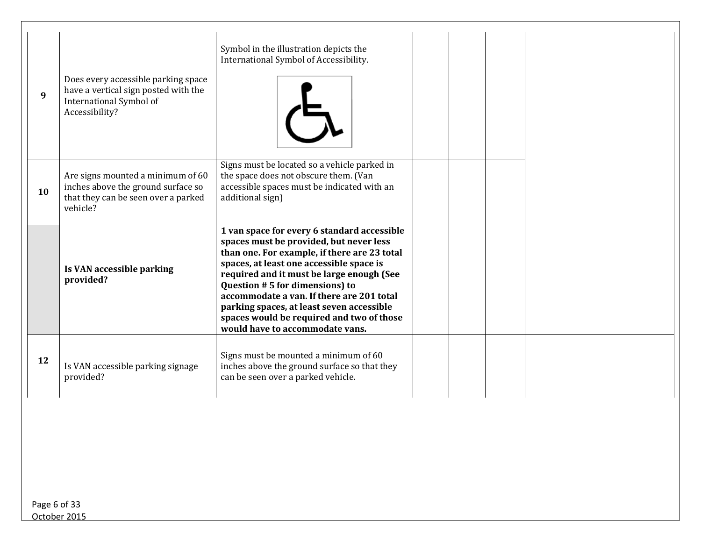| 9  | Does every accessible parking space<br>have a vertical sign posted with the<br>International Symbol of<br>Accessibility?   | Symbol in the illustration depicts the<br>International Symbol of Accessibility.                                                                                                                                                                                                                                                                                                                                                            |  |
|----|----------------------------------------------------------------------------------------------------------------------------|---------------------------------------------------------------------------------------------------------------------------------------------------------------------------------------------------------------------------------------------------------------------------------------------------------------------------------------------------------------------------------------------------------------------------------------------|--|
| 10 | Are signs mounted a minimum of 60<br>inches above the ground surface so<br>that they can be seen over a parked<br>vehicle? | Signs must be located so a vehicle parked in<br>the space does not obscure them. (Van<br>accessible spaces must be indicated with an<br>additional sign)                                                                                                                                                                                                                                                                                    |  |
|    | Is VAN accessible parking<br>provided?                                                                                     | 1 van space for every 6 standard accessible<br>spaces must be provided, but never less<br>than one. For example, if there are 23 total<br>spaces, at least one accessible space is<br>required and it must be large enough (See<br>Question #5 for dimensions) to<br>accommodate a van. If there are 201 total<br>parking spaces, at least seven accessible<br>spaces would be required and two of those<br>would have to accommodate vans. |  |
| 12 | Is VAN accessible parking signage<br>provided?                                                                             | Signs must be mounted a minimum of 60<br>inches above the ground surface so that they<br>can be seen over a parked vehicle.                                                                                                                                                                                                                                                                                                                 |  |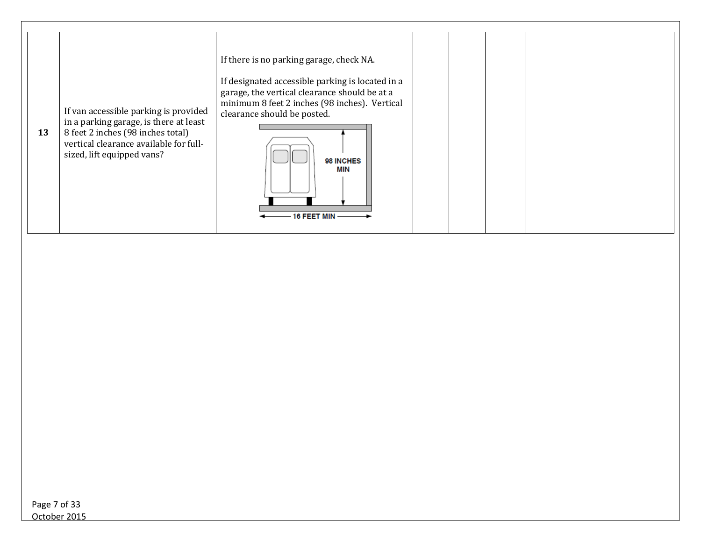| 13 | If van accessible parking is provided<br>in a parking garage, is there at least<br>8 feet 2 inches (98 inches total)<br>vertical clearance available for full-<br>sized, lift equipped vans? | If there is no parking garage, check NA.<br>If designated accessible parking is located in a<br>garage, the vertical clearance should be at a<br>minimum 8 feet 2 inches (98 inches). Vertical<br>clearance should be posted.<br>98 INCHES<br>MIN<br>16 FEET MIN |  |  |  |
|----|----------------------------------------------------------------------------------------------------------------------------------------------------------------------------------------------|------------------------------------------------------------------------------------------------------------------------------------------------------------------------------------------------------------------------------------------------------------------|--|--|--|
|----|----------------------------------------------------------------------------------------------------------------------------------------------------------------------------------------------|------------------------------------------------------------------------------------------------------------------------------------------------------------------------------------------------------------------------------------------------------------------|--|--|--|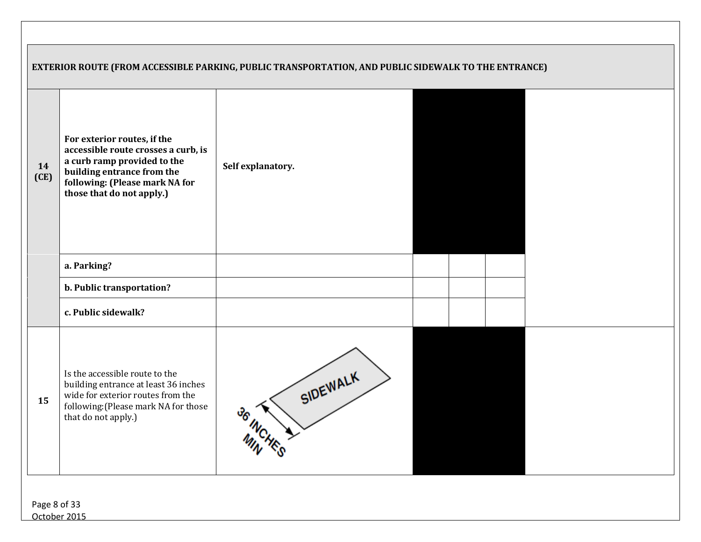|            |                                                                                                                                                                                                | EXTERIOR ROUTE (FROM ACCESSIBLE PARKING, PUBLIC TRANSPORTATION, AND PUBLIC SIDEWALK TO THE ENTRANCE) |
|------------|------------------------------------------------------------------------------------------------------------------------------------------------------------------------------------------------|------------------------------------------------------------------------------------------------------|
| 14<br>(CE) | For exterior routes, if the<br>accessible route crosses a curb, is<br>a curb ramp provided to the<br>building entrance from the<br>following: (Please mark NA for<br>those that do not apply.) | Self explanatory.                                                                                    |
|            | a. Parking?                                                                                                                                                                                    |                                                                                                      |
|            | b. Public transportation?                                                                                                                                                                      |                                                                                                      |
|            | c. Public sidewalk?                                                                                                                                                                            |                                                                                                      |
| 15         | Is the accessible route to the<br>building entrance at least 36 inches<br>wide for exterior routes from the<br>following: (Please mark NA for those<br>that do not apply.)                     | SIDEWALK<br>36 INCHE                                                                                 |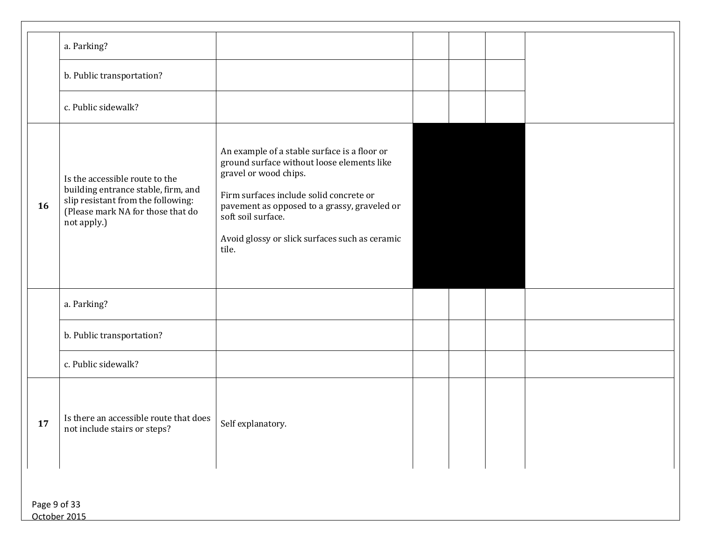|              | a. Parking?                                                                                                                                                     |                                                                                                                                                                                                                                                                                                 |  |  |
|--------------|-----------------------------------------------------------------------------------------------------------------------------------------------------------------|-------------------------------------------------------------------------------------------------------------------------------------------------------------------------------------------------------------------------------------------------------------------------------------------------|--|--|
|              | b. Public transportation?                                                                                                                                       |                                                                                                                                                                                                                                                                                                 |  |  |
|              | c. Public sidewalk?                                                                                                                                             |                                                                                                                                                                                                                                                                                                 |  |  |
| 16           | Is the accessible route to the<br>building entrance stable, firm, and<br>slip resistant from the following:<br>(Please mark NA for those that do<br>not apply.) | An example of a stable surface is a floor or<br>ground surface without loose elements like<br>gravel or wood chips.<br>Firm surfaces include solid concrete or<br>pavement as opposed to a grassy, graveled or<br>soft soil surface.<br>Avoid glossy or slick surfaces such as ceramic<br>tile. |  |  |
|              | a. Parking?                                                                                                                                                     |                                                                                                                                                                                                                                                                                                 |  |  |
|              | b. Public transportation?                                                                                                                                       |                                                                                                                                                                                                                                                                                                 |  |  |
|              | c. Public sidewalk?                                                                                                                                             |                                                                                                                                                                                                                                                                                                 |  |  |
| 17           | Is there an accessible route that does $\Big $ Self explanatory.<br>not include stairs or steps?                                                                |                                                                                                                                                                                                                                                                                                 |  |  |
| Page 9 of 33 |                                                                                                                                                                 |                                                                                                                                                                                                                                                                                                 |  |  |

October 2015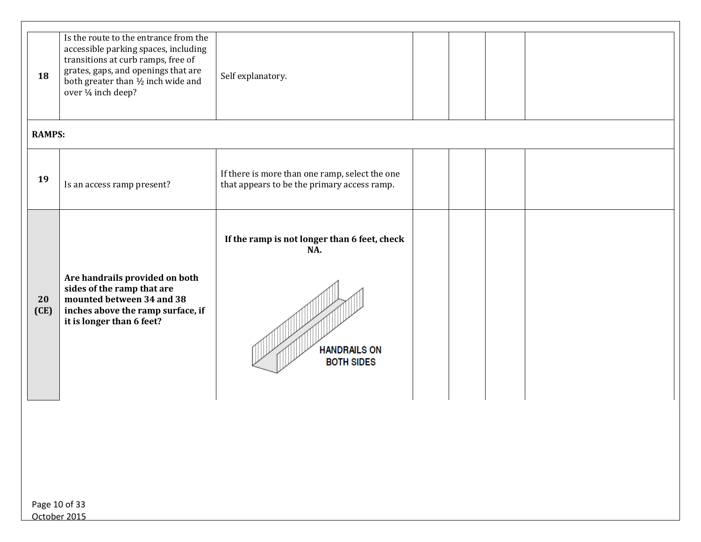| 18            | Is the route to the entrance from the<br>accessible parking spaces, including<br>transitions at curb ramps, free of<br>grates, gaps, and openings that are<br>both greater than 1/2 inch wide and<br>over 1/4 inch deep? | Self explanatory.                                                                               |  |  |  |
|---------------|--------------------------------------------------------------------------------------------------------------------------------------------------------------------------------------------------------------------------|-------------------------------------------------------------------------------------------------|--|--|--|
| <b>RAMPS:</b> |                                                                                                                                                                                                                          |                                                                                                 |  |  |  |
| 19            | Is an access ramp present?                                                                                                                                                                                               | If there is more than one ramp, select the one<br>that appears to be the primary access ramp.   |  |  |  |
| 20<br>(CE)    | Are handrails provided on both<br>sides of the ramp that are<br>mounted between 34 and 38<br>inches above the ramp surface, if<br>it is longer than 6 feet?                                                              | If the ramp is not longer than 6 feet, check<br>NA.<br><b>HANDRAILS ON</b><br><b>BOTH SIDES</b> |  |  |  |
|               |                                                                                                                                                                                                                          |                                                                                                 |  |  |  |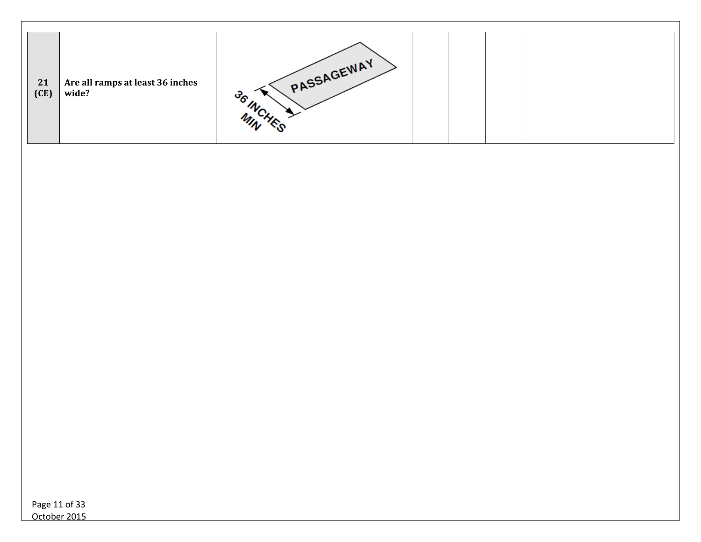| 21<br>(CE) | Are all ramps at least 36 inches<br>wide? | PASSAGEWAY |  |  |  |
|------------|-------------------------------------------|------------|--|--|--|
|            |                                           |            |  |  |  |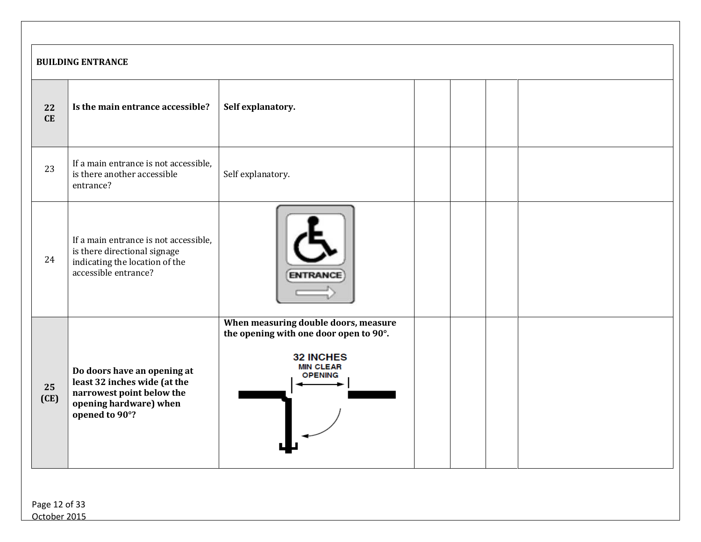|            | <b>BUILDING ENTRANCE</b>                                                                                                             |                                                                                                                                          |  |  |  |  |  |
|------------|--------------------------------------------------------------------------------------------------------------------------------------|------------------------------------------------------------------------------------------------------------------------------------------|--|--|--|--|--|
| 22<br>CE   | Is the main entrance accessible?                                                                                                     | Self explanatory.                                                                                                                        |  |  |  |  |  |
| 23         | If a main entrance is not accessible,<br>is there another accessible<br>entrance?                                                    | Self explanatory.                                                                                                                        |  |  |  |  |  |
| 24         | If a main entrance is not accessible,<br>is there directional signage<br>indicating the location of the<br>accessible entrance?      |                                                                                                                                          |  |  |  |  |  |
| 25<br>(CE) | Do doors have an opening at<br>least 32 inches wide (at the<br>narrowest point below the<br>opening hardware) when<br>opened to 90°? | When measuring double doors, measure<br>the opening with one door open to 90°.<br><b>32 INCHES</b><br><b>MIN CLEAR</b><br><b>OPENING</b> |  |  |  |  |  |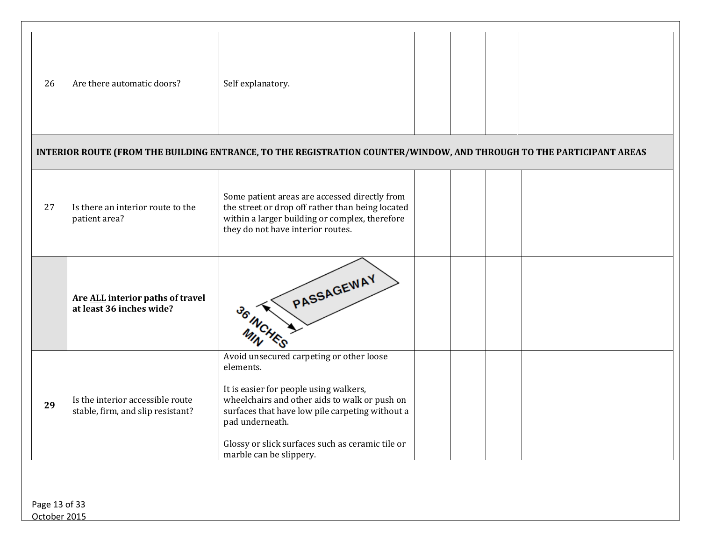| 26 | Are there automatic doors?                                            | Self explanatory.                                                                                                                                                                                                                                                                                     |  |  |
|----|-----------------------------------------------------------------------|-------------------------------------------------------------------------------------------------------------------------------------------------------------------------------------------------------------------------------------------------------------------------------------------------------|--|--|
|    |                                                                       | INTERIOR ROUTE (FROM THE BUILDING ENTRANCE, TO THE REGISTRATION COUNTER/WINDOW, AND THROUGH TO THE PARTICIPANT AREAS                                                                                                                                                                                  |  |  |
| 27 | Is there an interior route to the<br>patient area?                    | Some patient areas are accessed directly from<br>the street or drop off rather than being located<br>within a larger building or complex, therefore<br>they do not have interior routes.                                                                                                              |  |  |
|    | Are ALL interior paths of travel<br>at least 36 inches wide?          | PASSAGEWAY                                                                                                                                                                                                                                                                                            |  |  |
| 29 | Is the interior accessible route<br>stable, firm, and slip resistant? | Avoid unsecured carpeting or other loose<br>elements.<br>It is easier for people using walkers,<br>wheelchairs and other aids to walk or push on<br>surfaces that have low pile carpeting without a<br>pad underneath.<br>Glossy or slick surfaces such as ceramic tile or<br>marble can be slippery. |  |  |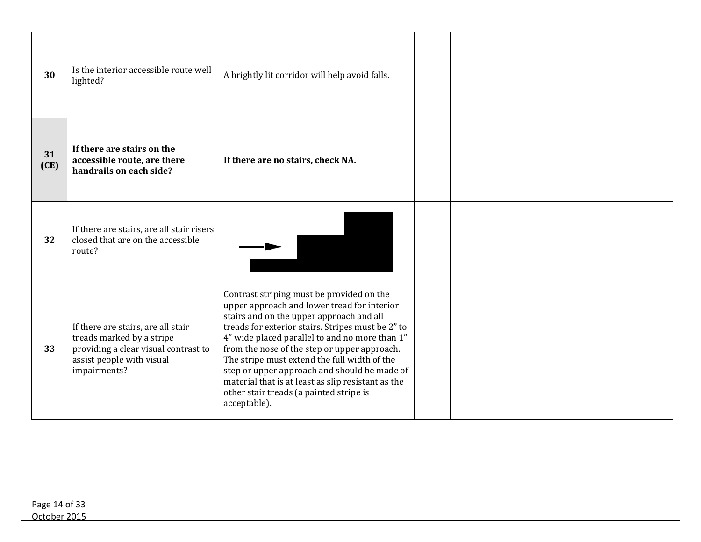| 30         | Is the interior accessible route well<br>lighted?                                                                                                    | A brightly lit corridor will help avoid falls.                                                                                                                                                                                                                                                                                                                                                                                                                                                               |  |  |
|------------|------------------------------------------------------------------------------------------------------------------------------------------------------|--------------------------------------------------------------------------------------------------------------------------------------------------------------------------------------------------------------------------------------------------------------------------------------------------------------------------------------------------------------------------------------------------------------------------------------------------------------------------------------------------------------|--|--|
| 31<br>(CE) | If there are stairs on the<br>accessible route, are there<br>handrails on each side?                                                                 | If there are no stairs, check NA.                                                                                                                                                                                                                                                                                                                                                                                                                                                                            |  |  |
| 32         | If there are stairs, are all stair risers<br>closed that are on the accessible<br>route?                                                             |                                                                                                                                                                                                                                                                                                                                                                                                                                                                                                              |  |  |
| 33         | If there are stairs, are all stair<br>treads marked by a stripe<br>providing a clear visual contrast to<br>assist people with visual<br>impairments? | Contrast striping must be provided on the<br>upper approach and lower tread for interior<br>stairs and on the upper approach and all<br>treads for exterior stairs. Stripes must be 2" to<br>4" wide placed parallel to and no more than 1"<br>from the nose of the step or upper approach.<br>The stripe must extend the full width of the<br>step or upper approach and should be made of<br>material that is at least as slip resistant as the<br>other stair treads (a painted stripe is<br>acceptable). |  |  |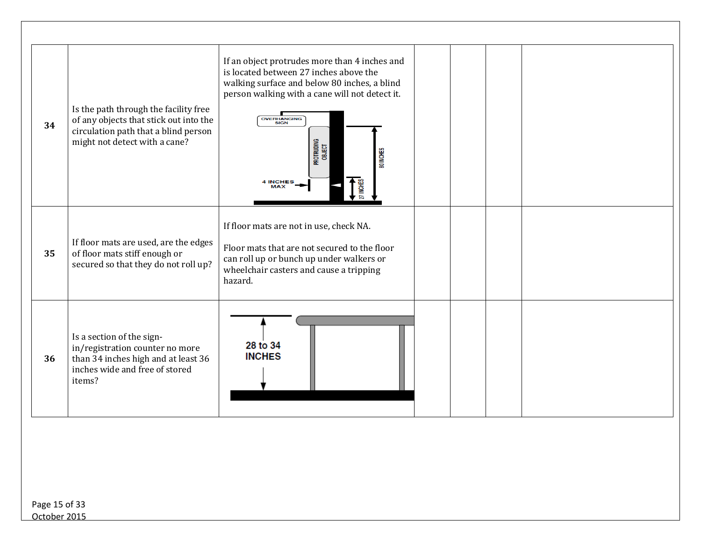| 34 | Is the path through the facility free<br>of any objects that stick out into the<br>circulation path that a blind person<br>might not detect with a cane? | If an object protrudes more than 4 inches and<br>is located between 27 inches above the<br>walking surface and below 80 inches, a blind<br>person walking with a cane will not detect it.<br><b>OVERHANGING</b><br>SIGN<br>Protruding<br>Object<br>80 INCHES<br><b>4 INCHES</b><br>27 INCHES |  |  |  |
|----|----------------------------------------------------------------------------------------------------------------------------------------------------------|----------------------------------------------------------------------------------------------------------------------------------------------------------------------------------------------------------------------------------------------------------------------------------------------|--|--|--|
| 35 | If floor mats are used, are the edges<br>of floor mats stiff enough or<br>secured so that they do not roll up?                                           | If floor mats are not in use, check NA.<br>Floor mats that are not secured to the floor<br>can roll up or bunch up under walkers or<br>wheelchair casters and cause a tripping<br>hazard.                                                                                                    |  |  |  |
| 36 | Is a section of the sign-<br>in/registration counter no more<br>than 34 inches high and at least 36<br>inches wide and free of stored<br>items?          | 28 to 34<br><b>INCHES</b>                                                                                                                                                                                                                                                                    |  |  |  |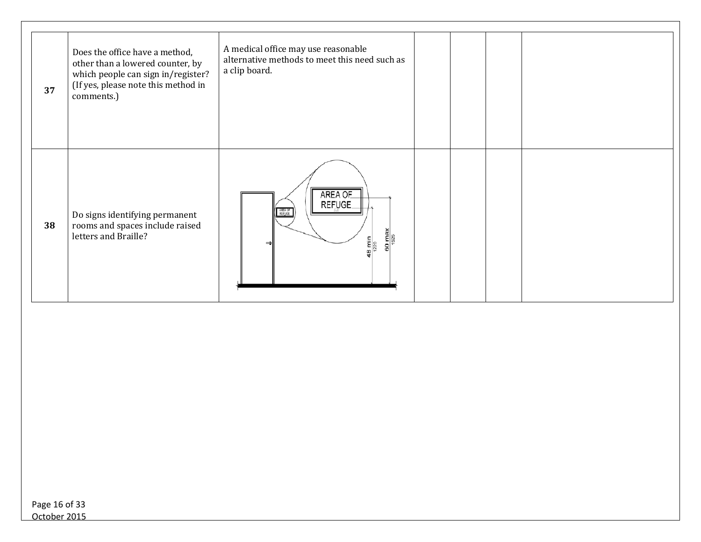| 37 | Does the office have a method,<br>other than a lowered counter, by<br>which people can sign in/register?<br>(If yes, please note this method in<br>comments.) | A medical office may use reasonable<br>alternative methods to meet this need such as<br>a clip board. |  |  |
|----|---------------------------------------------------------------------------------------------------------------------------------------------------------------|-------------------------------------------------------------------------------------------------------|--|--|
| 38 | Do signs identifying permanent<br>rooms and spaces include raised<br>letters and Braille?                                                                     | AREA OF<br>REFUGE<br>$\frac{60 \text{ max}}{1525}$<br>$\frac{8 \text{ min}}{1220}$                    |  |  |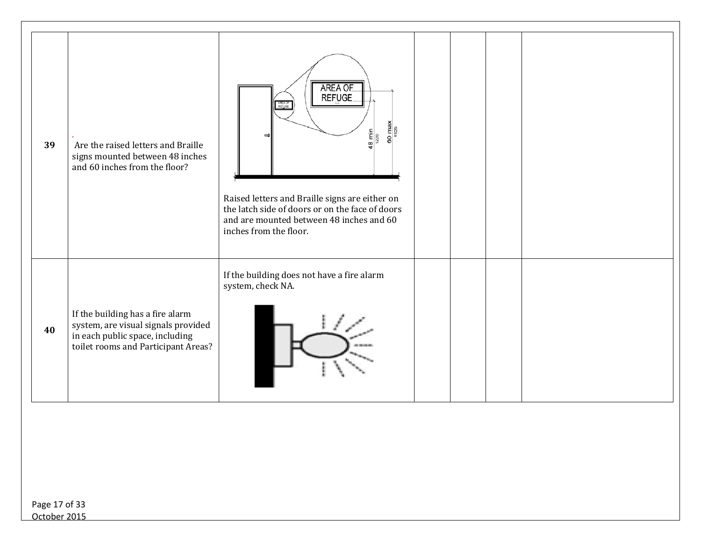| 39 | Are the raised letters and Braille<br>signs mounted between 48 inches<br>and 60 inches from the floor?                                            | AREA OF<br>REFUGE<br>AREA OF<br>REFUGE<br>$rac{60 \text{ mas}}{1525}$<br>$\frac{8 \text{ min}}{1220}$<br>Raised letters and Braille signs are either on<br>the latch side of doors or on the face of doors<br>and are mounted between 48 inches and 60<br>inches from the floor. |  |  |  |
|----|---------------------------------------------------------------------------------------------------------------------------------------------------|----------------------------------------------------------------------------------------------------------------------------------------------------------------------------------------------------------------------------------------------------------------------------------|--|--|--|
| 40 | If the building has a fire alarm<br>system, are visual signals provided<br>in each public space, including<br>toilet rooms and Participant Areas? | If the building does not have a fire alarm<br>system, check NA.                                                                                                                                                                                                                  |  |  |  |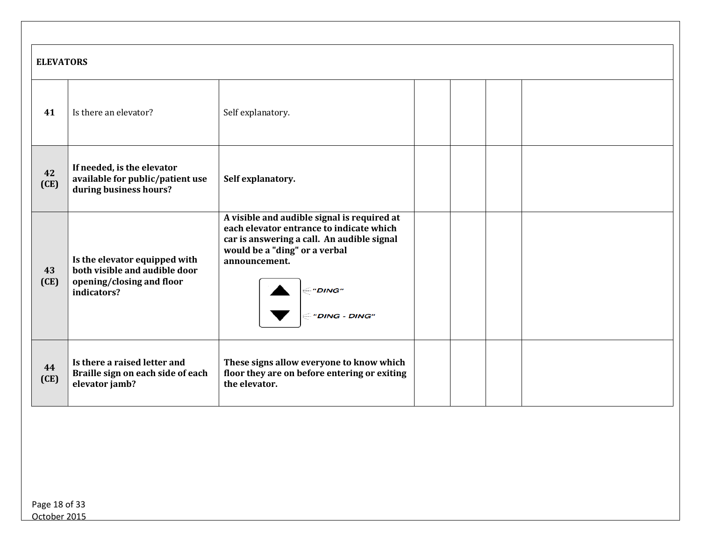|            | <b>ELEVATORS</b>                                                                                           |                                                                                                                                                                                                                             |  |  |  |  |  |
|------------|------------------------------------------------------------------------------------------------------------|-----------------------------------------------------------------------------------------------------------------------------------------------------------------------------------------------------------------------------|--|--|--|--|--|
| 41         | Is there an elevator?                                                                                      | Self explanatory.                                                                                                                                                                                                           |  |  |  |  |  |
| 42<br>(CE) | If needed, is the elevator<br>available for public/patient use<br>during business hours?                   | Self explanatory.                                                                                                                                                                                                           |  |  |  |  |  |
| 43<br>(CE) | Is the elevator equipped with<br>both visible and audible door<br>opening/closing and floor<br>indicators? | A visible and audible signal is required at<br>each elevator entrance to indicate which<br>car is answering a call. An audible signal<br>would be a "ding" or a verbal<br>announcement.<br><i>"DING"</i><br>- "DING - DING" |  |  |  |  |  |
| 44<br>(CE) | Is there a raised letter and<br>Braille sign on each side of each<br>elevator jamb?                        | These signs allow everyone to know which<br>floor they are on before entering or exiting<br>the elevator.                                                                                                                   |  |  |  |  |  |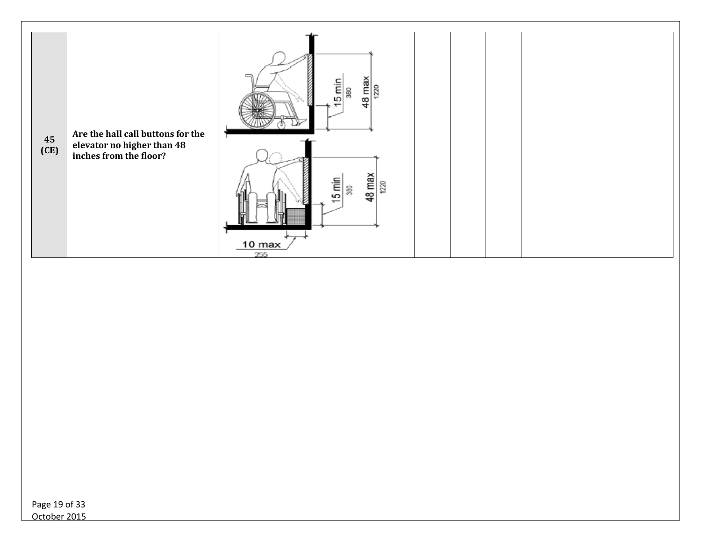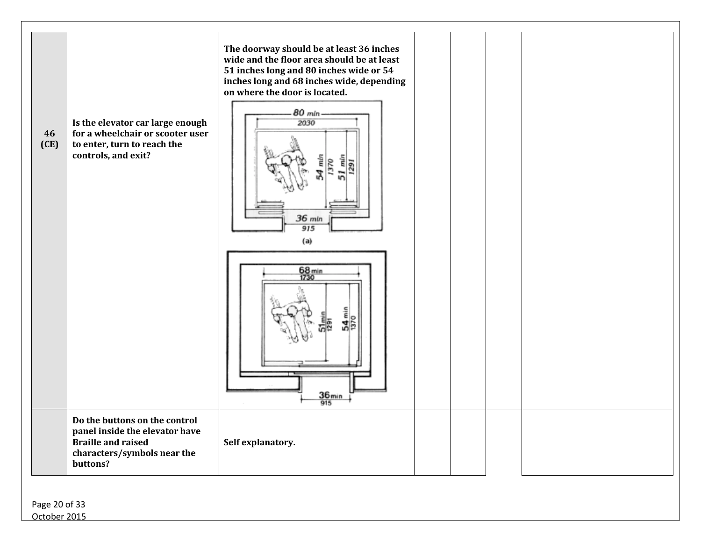| 46<br>(CE) | Is the elevator car large enough<br>for a wheelchair or scooter user<br>to enter, turn to reach the<br>controls, and exit?              | The doorway should be at least 36 inches<br>wide and the floor area should be at least<br>51 inches long and 80 inches wide or 54<br>inches long and 68 inches wide, depending<br>on where the door is located.<br>80 mln<br>2030<br>$36$ mln<br>915<br>(a) |  |  |
|------------|-----------------------------------------------------------------------------------------------------------------------------------------|-------------------------------------------------------------------------------------------------------------------------------------------------------------------------------------------------------------------------------------------------------------|--|--|
|            |                                                                                                                                         | 68 min<br>1730<br>4<br>36 <sub>min</sub><br>915                                                                                                                                                                                                             |  |  |
|            | Do the buttons on the control<br>panel inside the elevator have<br><b>Braille and raised</b><br>characters/symbols near the<br>buttons? | Self explanatory.                                                                                                                                                                                                                                           |  |  |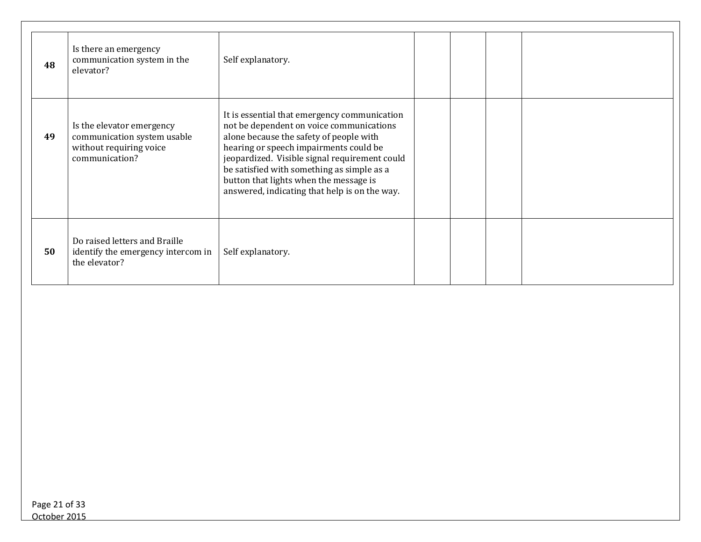| 48 | Is there an emergency<br>communication system in the<br>elevator?                                     | Self explanatory.                                                                                                                                                                                                                                                                                                                                                       |  |  |
|----|-------------------------------------------------------------------------------------------------------|-------------------------------------------------------------------------------------------------------------------------------------------------------------------------------------------------------------------------------------------------------------------------------------------------------------------------------------------------------------------------|--|--|
| 49 | Is the elevator emergency<br>communication system usable<br>without requiring voice<br>communication? | It is essential that emergency communication<br>not be dependent on voice communications<br>alone because the safety of people with<br>hearing or speech impairments could be<br>jeopardized. Visible signal requirement could<br>be satisfied with something as simple as a<br>button that lights when the message is<br>answered, indicating that help is on the way. |  |  |
| 50 | Do raised letters and Braille<br>identify the emergency intercom in<br>the elevator?                  | Self explanatory.                                                                                                                                                                                                                                                                                                                                                       |  |  |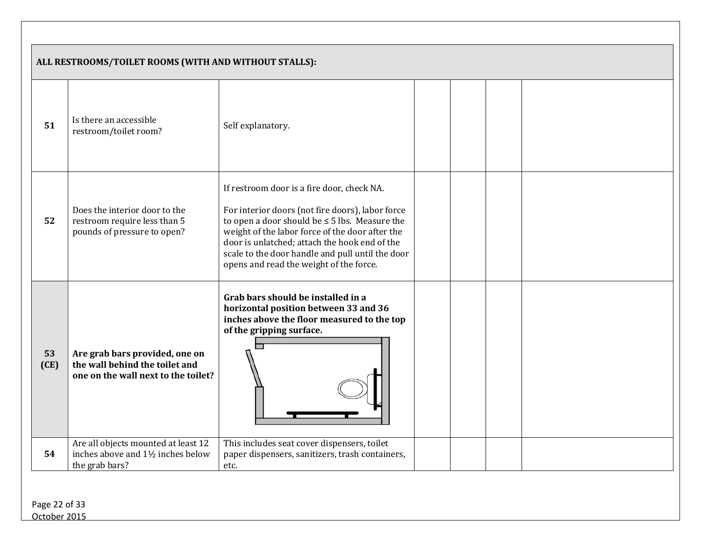|            | ALL RESTROOMS/TOILET ROOMS (WITH AND WITHOUT STALLS):                                                   |                                                                                                                                                                                                                                                                                                                                                         |  |  |
|------------|---------------------------------------------------------------------------------------------------------|---------------------------------------------------------------------------------------------------------------------------------------------------------------------------------------------------------------------------------------------------------------------------------------------------------------------------------------------------------|--|--|
| 51         | Is there an accessible<br>restroom/toilet room?                                                         | Self explanatory.                                                                                                                                                                                                                                                                                                                                       |  |  |
| 52         | Does the interior door to the<br>restroom require less than 5<br>pounds of pressure to open?            | If restroom door is a fire door, check NA.<br>For interior doors (not fire doors), labor force<br>to open a door should be $\leq$ 5 lbs. Measure the<br>weight of the labor force of the door after the<br>door is unlatched; attach the hook end of the<br>scale to the door handle and pull until the door<br>opens and read the weight of the force. |  |  |
| 53<br>(CE) | Are grab bars provided, one on<br>the wall behind the toilet and<br>one on the wall next to the toilet? | Grab bars should be installed in a<br>horizontal position between 33 and 36<br>inches above the floor measured to the top<br>of the gripping surface.                                                                                                                                                                                                   |  |  |
| 54         | Are all objects mounted at least 12<br>inches above and 1½ inches below<br>the grab bars?               | This includes seat cover dispensers, toilet<br>paper dispensers, sanitizers, trash containers,<br>etc.                                                                                                                                                                                                                                                  |  |  |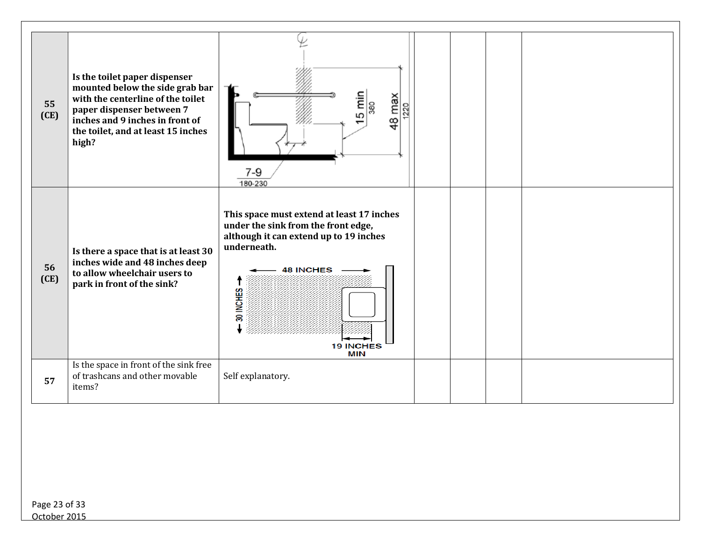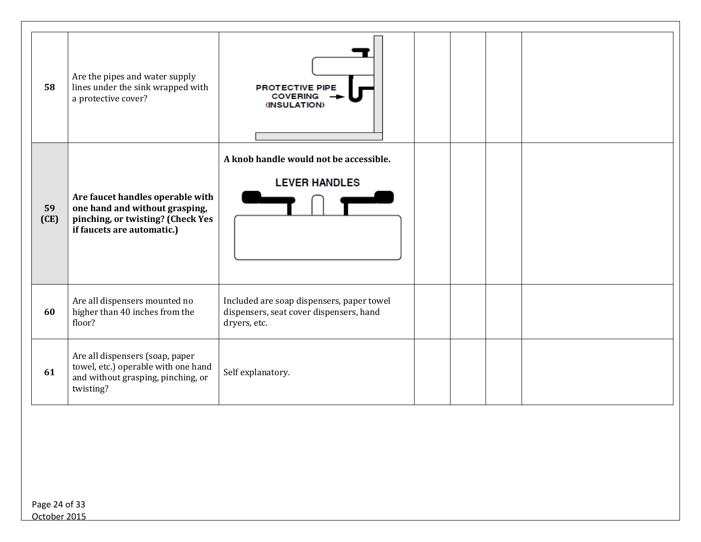| 58         | Are the pipes and water supply<br>lines under the sink wrapped with<br>a protective cover?                                            | <b>PROTECTIVE PIPE</b><br><b>COVERING</b><br>(INSULATION)                                            |
|------------|---------------------------------------------------------------------------------------------------------------------------------------|------------------------------------------------------------------------------------------------------|
| 59<br>(CE) | Are faucet handles operable with<br>one hand and without grasping,<br>pinching, or twisting? (Check Yes<br>if faucets are automatic.) | A knob handle would not be accessible.<br><b>LEVER HANDLES</b>                                       |
| 60         | Are all dispensers mounted no<br>higher than 40 inches from the<br>floor?                                                             | Included are soap dispensers, paper towel<br>dispensers, seat cover dispensers, hand<br>dryers, etc. |
| 61         | Are all dispensers (soap, paper<br>towel, etc.) operable with one hand<br>and without grasping, pinching, or<br>twisting?             | Self explanatory.                                                                                    |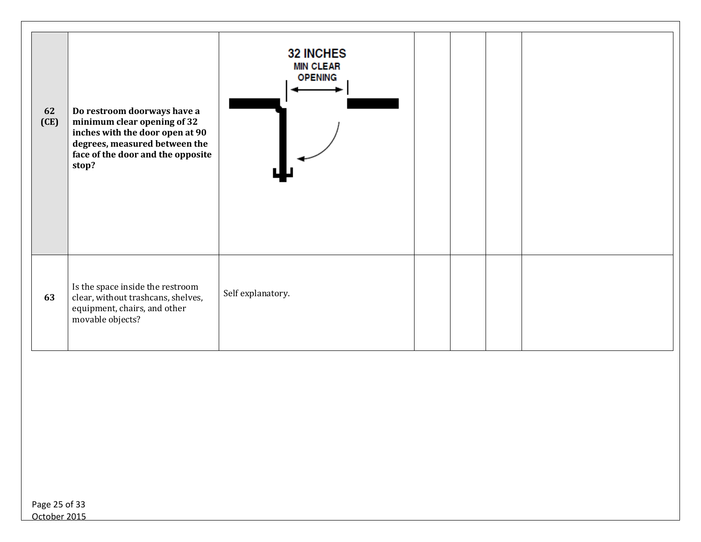| 62<br>(CE) | Do restroom doorways have a<br>minimum clear opening of 32<br>inches with the door open at 90<br>degrees, measured between the<br>face of the door and the opposite<br>stop? | <b>32 INCHES</b><br><b>MIN CLEAR</b><br><b>OPENING</b> |  |  |
|------------|------------------------------------------------------------------------------------------------------------------------------------------------------------------------------|--------------------------------------------------------|--|--|
| 63         | Is the space inside the restroom<br>clear, without trashcans, shelves,<br>equipment, chairs, and other<br>movable objects?                                                   | Self explanatory.                                      |  |  |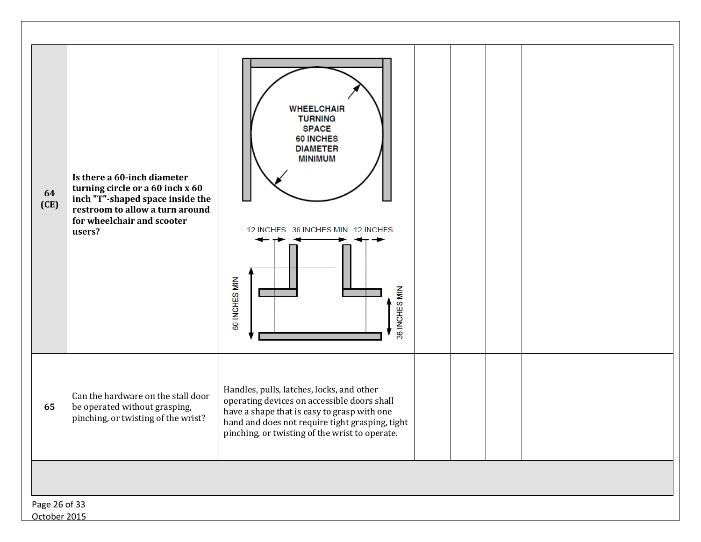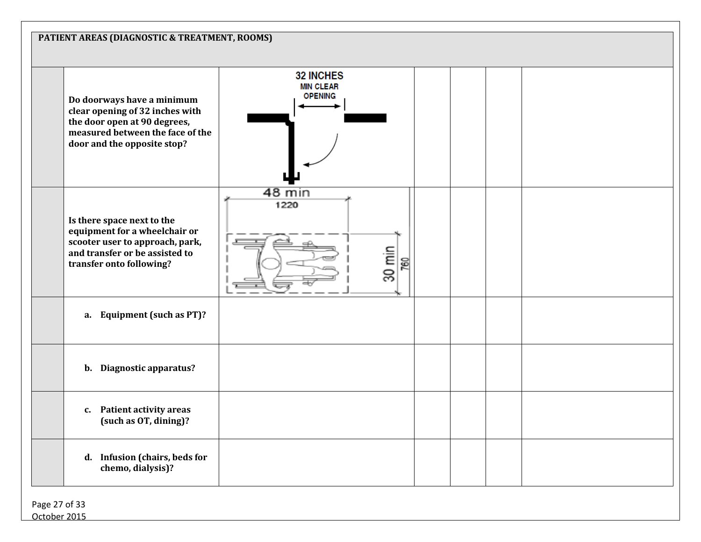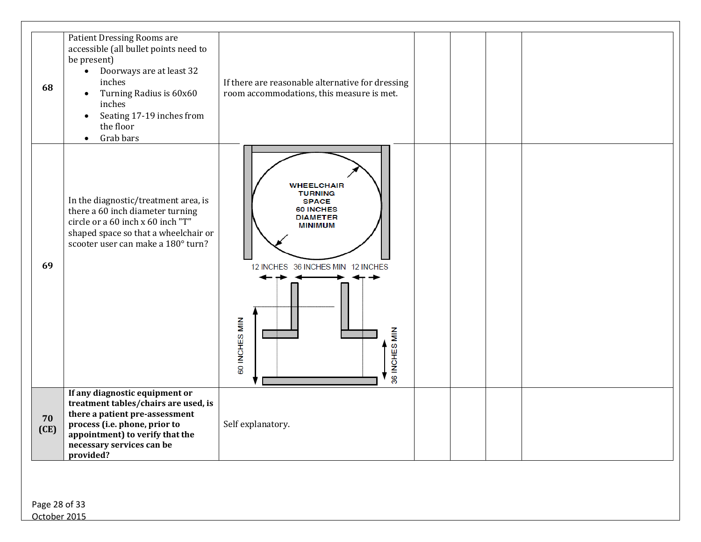| 68         | Patient Dressing Rooms are<br>accessible (all bullet points need to<br>be present)<br>Doorways are at least 32<br>inches<br>Turning Radius is 60x60<br>$\bullet$<br>inches<br>Seating 17-19 inches from<br>the floor<br>Grab bars<br>$\bullet$ | If there are reasonable alternative for dressing<br>room accommodations, this measure is met.                                                                                       |  |  |
|------------|------------------------------------------------------------------------------------------------------------------------------------------------------------------------------------------------------------------------------------------------|-------------------------------------------------------------------------------------------------------------------------------------------------------------------------------------|--|--|
| 69         | In the diagnostic/treatment area, is<br>there a 60 inch diameter turning<br>circle or a 60 inch x 60 inch "T"<br>shaped space so that a wheelchair or<br>scooter user can make a 180° turn?                                                    | <b>WHEELCHAIR</b><br><b>TURNING</b><br><b>SPACE</b><br><b>60 INCHES</b><br><b>DIAMETER</b><br><b>MINIMUM</b><br>12 INCHES 36 INCHES MIN 12 INCHES<br>60 INCHES MIN<br>36 INCHES MIN |  |  |
| 70<br>(CE) | If any diagnostic equipment or<br>treatment tables/chairs are used, is<br>there a patient pre-assessment<br>process (i.e. phone, prior to<br>appointment) to verify that the<br>necessary services can be<br>provided?                         | Self explanatory.                                                                                                                                                                   |  |  |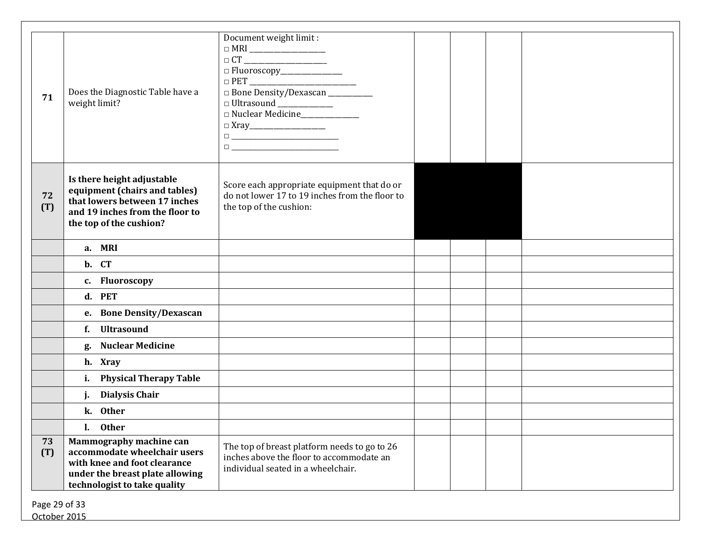| 71                            | Does the Diagnostic Table have a<br>weight limit?                                                                                                          | Document weight limit:<br>$\hfill \Box \; {\bf MRI} \; \underline{\hspace{1cm}}$<br>$\Box C T \underline{\hspace{2cm}} \underline{\hspace{2cm}}$<br>$\hfill \Box\,\mathrm{PET}\xspace=\xrightarrow{\hspace*{1.5cm}} \qquad \qquad \Box\,\Box$<br>□ Bone Density/Dexascan __________<br>□ Ultrasound ____________<br>Nuclear Medicine_____________<br>$\begin{tabular}{ c c c c } \hline \quad \quad & \quad \quad & \quad \quad & \quad \quad \\ \hline \quad \quad & \quad \quad & \quad \quad & \quad \quad \\ \hline \end{tabular}$ |  |  |
|-------------------------------|------------------------------------------------------------------------------------------------------------------------------------------------------------|----------------------------------------------------------------------------------------------------------------------------------------------------------------------------------------------------------------------------------------------------------------------------------------------------------------------------------------------------------------------------------------------------------------------------------------------------------------------------------------------------------------------------------------|--|--|
| 72<br>(T)                     | Is there height adjustable<br>equipment (chairs and tables)<br>that lowers between 17 inches<br>and 19 inches from the floor to<br>the top of the cushion? | Score each appropriate equipment that do or<br>do not lower 17 to 19 inches from the floor to<br>the top of the cushion:                                                                                                                                                                                                                                                                                                                                                                                                               |  |  |
|                               | a. MRI                                                                                                                                                     |                                                                                                                                                                                                                                                                                                                                                                                                                                                                                                                                        |  |  |
|                               | b. CT                                                                                                                                                      |                                                                                                                                                                                                                                                                                                                                                                                                                                                                                                                                        |  |  |
|                               | c. Fluoroscopy                                                                                                                                             |                                                                                                                                                                                                                                                                                                                                                                                                                                                                                                                                        |  |  |
|                               | d. PET                                                                                                                                                     |                                                                                                                                                                                                                                                                                                                                                                                                                                                                                                                                        |  |  |
|                               | e. Bone Density/Dexascan                                                                                                                                   |                                                                                                                                                                                                                                                                                                                                                                                                                                                                                                                                        |  |  |
|                               | f. Ultrasound                                                                                                                                              |                                                                                                                                                                                                                                                                                                                                                                                                                                                                                                                                        |  |  |
|                               | <b>Nuclear Medicine</b><br>g.                                                                                                                              |                                                                                                                                                                                                                                                                                                                                                                                                                                                                                                                                        |  |  |
|                               | h. Xray                                                                                                                                                    |                                                                                                                                                                                                                                                                                                                                                                                                                                                                                                                                        |  |  |
|                               | i. Physical Therapy Table                                                                                                                                  |                                                                                                                                                                                                                                                                                                                                                                                                                                                                                                                                        |  |  |
|                               | j. Dialysis Chair                                                                                                                                          |                                                                                                                                                                                                                                                                                                                                                                                                                                                                                                                                        |  |  |
|                               | k. Other                                                                                                                                                   |                                                                                                                                                                                                                                                                                                                                                                                                                                                                                                                                        |  |  |
|                               | <b>Other</b><br>$\mathbf{l}$ .                                                                                                                             |                                                                                                                                                                                                                                                                                                                                                                                                                                                                                                                                        |  |  |
| 73<br>(T)                     | Mammography machine can<br>accommodate wheelchair users<br>with knee and foot clearance<br>under the breast plate allowing<br>technologist to take quality | The top of breast platform needs to go to 26<br>inches above the floor to accommodate an<br>individual seated in a wheelchair.                                                                                                                                                                                                                                                                                                                                                                                                         |  |  |
| Page 29 of 33<br>October 2015 |                                                                                                                                                            |                                                                                                                                                                                                                                                                                                                                                                                                                                                                                                                                        |  |  |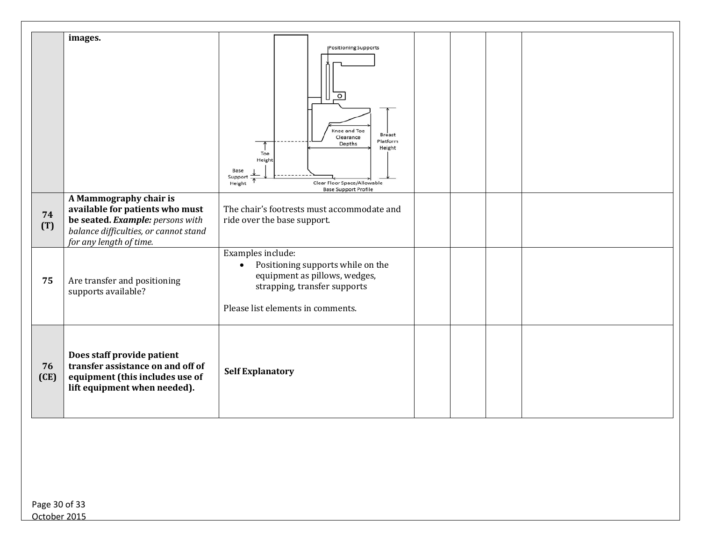|            | images.                                                                                                                                                           | <b>Positioning Supports</b><br>$\circ$<br>Knee and Toe<br><b>Breast</b><br>Clearance<br>Platform<br>Depths<br>Height<br>Toe<br>Height<br>Base<br>Support<br>Clear Floor Space/Allowable<br>Height<br><b>Base Support Profile</b> |  |  |
|------------|-------------------------------------------------------------------------------------------------------------------------------------------------------------------|----------------------------------------------------------------------------------------------------------------------------------------------------------------------------------------------------------------------------------|--|--|
| 74<br>(T)  | A Mammography chair is<br>available for patients who must<br>be seated. Example: persons with<br>balance difficulties, or cannot stand<br>for any length of time. | The chair's footrests must accommodate and<br>ride over the base support.                                                                                                                                                        |  |  |
| 75         | Are transfer and positioning<br>supports available?                                                                                                               | Examples include:<br>Positioning supports while on the<br>$\bullet$<br>equipment as pillows, wedges,<br>strapping, transfer supports<br>Please list elements in comments.                                                        |  |  |
| 76<br>(CE) | Does staff provide patient<br>transfer assistance on and off of<br>equipment (this includes use of<br>lift equipment when needed).                                | <b>Self Explanatory</b>                                                                                                                                                                                                          |  |  |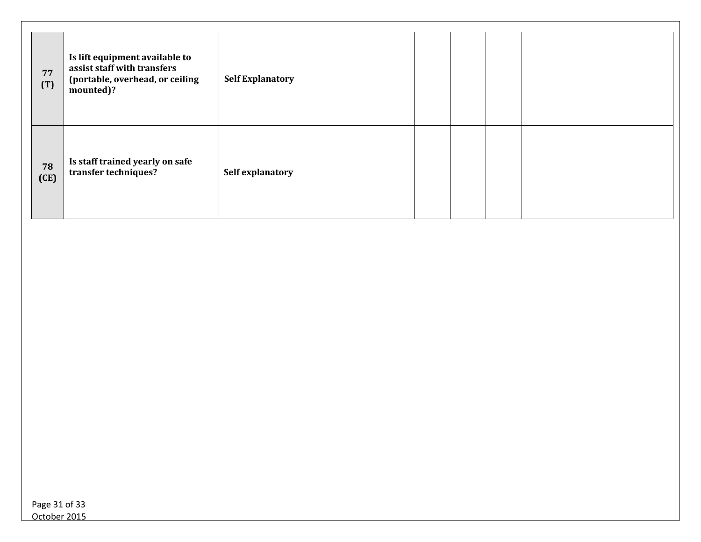| 77<br>(T)  | Is lift equipment available to<br>assist staff with transfers<br>(portable, overhead, or ceiling<br>mounted)? | <b>Self Explanatory</b> |  |  |
|------------|---------------------------------------------------------------------------------------------------------------|-------------------------|--|--|
| 78<br>(CE) | Is staff trained yearly on safe<br>transfer techniques?                                                       | Self explanatory        |  |  |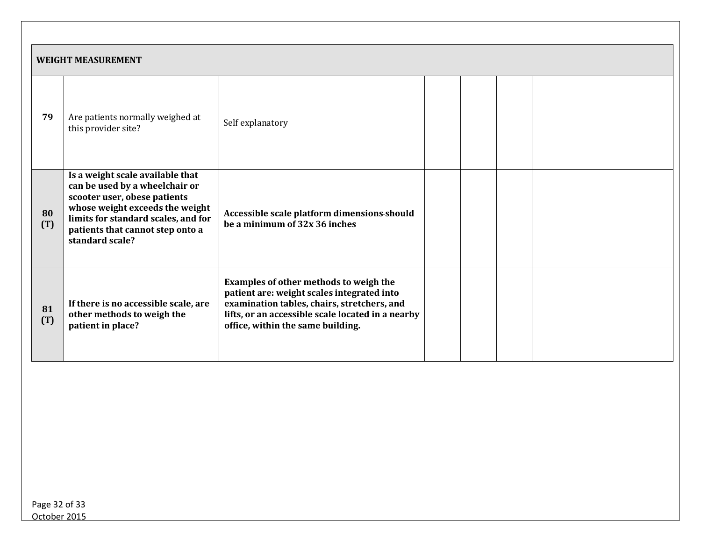|           | <b>WEIGHT MEASUREMENT</b>                                                                                                                                                                                                           |                                                                                                                                                                                                                               |  |  |  |  |
|-----------|-------------------------------------------------------------------------------------------------------------------------------------------------------------------------------------------------------------------------------------|-------------------------------------------------------------------------------------------------------------------------------------------------------------------------------------------------------------------------------|--|--|--|--|
| 79        | Are patients normally weighed at<br>this provider site?                                                                                                                                                                             | Self explanatory                                                                                                                                                                                                              |  |  |  |  |
| 80<br>(T) | Is a weight scale available that<br>can be used by a wheelchair or<br>scooter user, obese patients<br>whose weight exceeds the weight<br>limits for standard scales, and for<br>patients that cannot step onto a<br>standard scale? | Accessible scale platform dimensions-should<br>be a minimum of 32x 36 inches                                                                                                                                                  |  |  |  |  |
| 81<br>(T) | If there is no accessible scale, are<br>other methods to weigh the<br>patient in place?                                                                                                                                             | Examples of other methods to weigh the<br>patient are: weight scales integrated into<br>examination tables, chairs, stretchers, and<br>lifts, or an accessible scale located in a nearby<br>office, within the same building. |  |  |  |  |